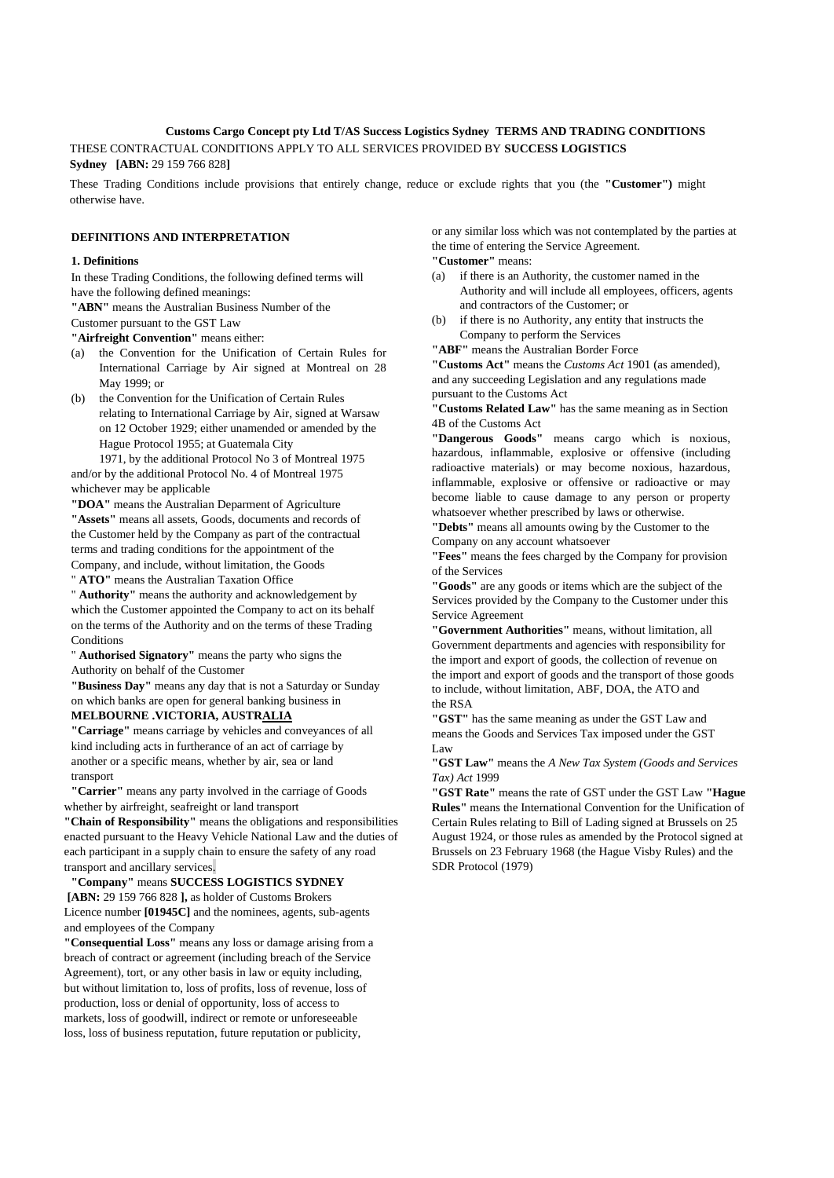# **Customs Cargo Concept pty Ltd T/AS Success Logistics Sydney TERMS AND TRADING CONDITIONS**

THESE CONTRACTUAL CONDITIONS APPLY TO ALL SERVICES PROVIDED BY **SUCCESS LOGISTICS Sydney [ABN:** 29 159 766 828**]**

These Trading Conditions include provisions that entirely change, reduce or exclude rights that you (the **"Customer")** might otherwise have.

## **DEFINITIONS AND INTERPRETATION**

#### **1. Definitions**

In these Trading Conditions, the following defined terms will have the following defined meanings:

**"ABN"** means the Australian Business Number of the

Customer pursuant to the GST Law

**"Airfreight Convention"** means either:

- the Convention for the Unification of Certain Rules for International Carriage by Air signed at Montreal on 28 May 1999; or
- (b) the Convention for the Unification of Certain Rules relating to International Carriage by Air, signed at Warsaw on 12 October 1929; either unamended or amended by the Hague Protocol 1955; at Guatemala City

1971, by the additional Protocol No 3 of Montreal 1975 and/or by the additional Protocol No. 4 of Montreal 1975 whichever may be applicable

**"DOA"** means the Australian Deparment of Agriculture **"Assets"** means all assets, Goods, documents and records of the Customer held by the Company as part of the contractual terms and trading conditions for the appointment of the Company, and include, without limitation, the Goods

" **ATO"** means the Australian Taxation Office

" **Authority"** means the authority and acknowledgement by which the Customer appointed the Company to act on its behalf on the terms of the Authority and on the terms of these Trading Conditions

" **Authorised Signatory"** means the party who signs the Authority on behalf of the Customer

**"Business Day"** means any day that is not a Saturday or Sunday on which banks are open for general banking business in

## **MELBOURNE .VICTORIA, AUSTRALIA**

**"Carriage"** means carriage by vehicles and conveyances of all kind including acts in furtherance of an act of carriage by another or a specific means, whether by air, sea or land transport

**"Carrier"** means any party involved in the carriage of Goods whether by airfreight, seafreight or land transport

**"Chain of Responsibility"** means the obligations and responsibilities enacted pursuant to the Heavy Vehicle National Law and the duties of each participant in a supply chain to ensure the safety of any road transport and ancillary services.

**"Company"** means **SUCCESS LOGISTICS SYDNEY [ABN:** 29 159 766 828 **],** as holder of Customs Brokers Licence number **[01945C]** and the nominees, agents, sub-agents and employees of the Company

**"Consequential Loss"** means any loss or damage arising from a breach of contract or agreement (including breach of the Service Agreement), tort, or any other basis in law or equity including, but without limitation to, loss of profits, loss of revenue, loss of production, loss or denial of opportunity, loss of access to markets, loss of goodwill, indirect or remote or unforeseeable loss, loss of business reputation, future reputation or publicity,

or any similar loss which was not contemplated by the parties at the time of entering the Service Agreement.

**"Customer"** means:

- (a) if there is an Authority, the customer named in the Authority and will include all employees, officers, agents and contractors of the Customer; or
- (b) if there is no Authority, any entity that instructs the Company to perform the Services

**"ABF"** means the Australian Border Force

**"Customs Act"** means the *Customs Act* 1901 (as amended), and any succeeding Legislation and any regulations made pursuant to the Customs Act

**"Customs Related Law"** has the same meaning as in Section 4B of the Customs Act

**"Dangerous Goods"** means cargo which is noxious, hazardous, inflammable, explosive or offensive (including radioactive materials) or may become noxious, hazardous, inflammable, explosive or offensive or radioactive or may become liable to cause damage to any person or property whatsoever whether prescribed by laws or otherwise.

**"Debts"** means all amounts owing by the Customer to the Company on any account whatsoever

**"Fees"** means the fees charged by the Company for provision of the Services

**"Goods"** are any goods or items which are the subject of the Services provided by the Company to the Customer under this Service Agreement

**"Government Authorities"** means, without limitation, all Government departments and agencies with responsibility for the import and export of goods, the collection of revenue on the import and export of goods and the transport of those goods to include, without limitation, ABF, DOA, the ATO and the RSA

**"GST"** has the same meaning as under the GST Law and means the Goods and Services Tax imposed under the GST Law

**"GST Law"** means the *A New Tax System (Goods and Services Tax) Act* 1999

**"GST Rate"** means the rate of GST under the GST Law **"Hague Rules"** means the International Convention for the Unification of Certain Rules relating to Bill of Lading signed at Brussels on 25 August 1924, or those rules as amended by the Protocol signed at Brussels on 23 February 1968 (the Hague Visby Rules) and the SDR Protocol (1979)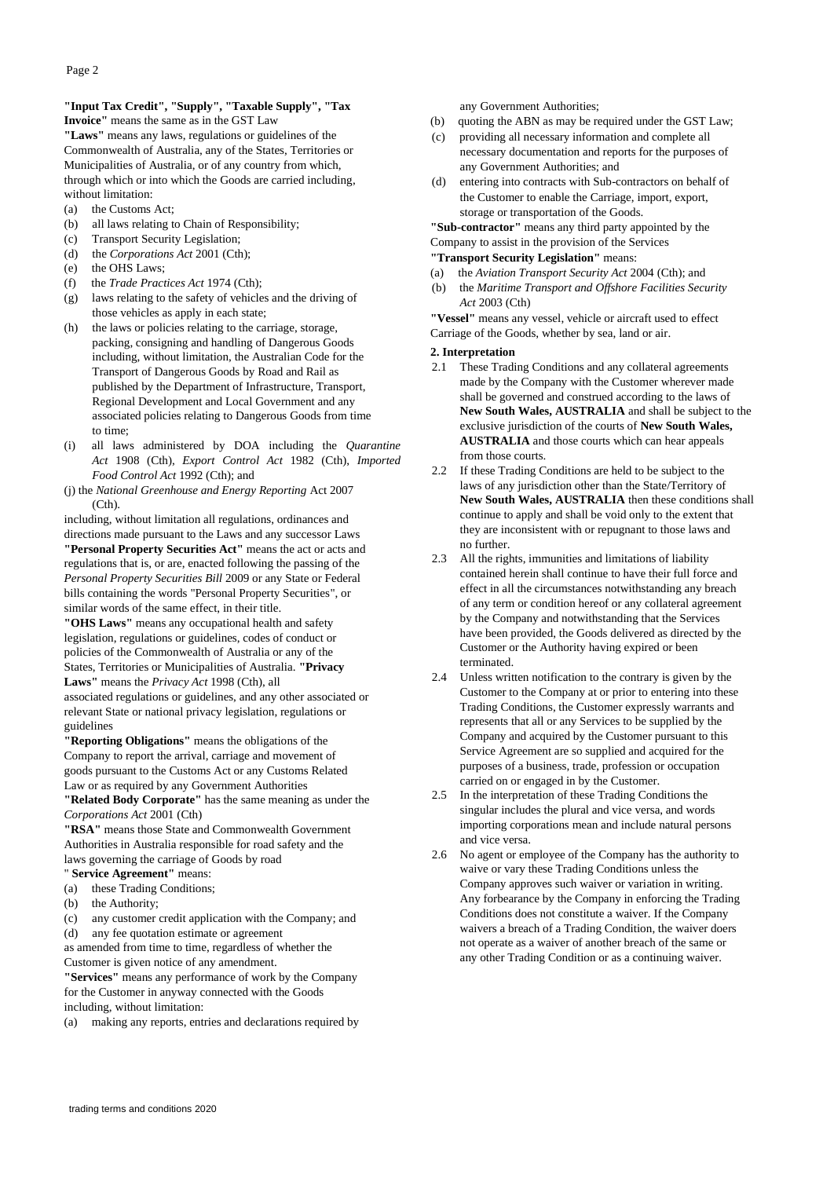## **"Input Tax Credit", "Supply", "Taxable Supply", "Tax Invoice"** means the same as in the GST Law

**"Laws"** means any laws, regulations or guidelines of the Commonwealth of Australia, any of the States, Territories or Municipalities of Australia, or of any country from which, through which or into which the Goods are carried including, without limitation:

- (a) the Customs Act;
- (b) all laws relating to Chain of Responsibility;
- (c) Transport Security Legislation;
- (d) the *Corporations Act* 2001 (Cth);
- (e) the OHS Laws;
- (f) the *Trade Practices Act* 1974 (Cth);
- (g) laws relating to the safety of vehicles and the driving of those vehicles as apply in each state;
- (h) the laws or policies relating to the carriage, storage, packing, consigning and handling of Dangerous Goods including, without limitation, the Australian Code for the Transport of Dangerous Goods by Road and Rail as published by the Department of Infrastructure, Transport, Regional Development and Local Government and any associated policies relating to Dangerous Goods from time to time;
- (i) all laws administered by DOA including the *Quarantine Act* 1908 (Cth), *Export Control Act* 1982 (Cth), *Imported Food Control Act* 1992 (Cth); and
- (j) the *National Greenhouse and Energy Reporting* Act 2007  $(Ch)$ .

including, without limitation all regulations, ordinances and directions made pursuant to the Laws and any successor Laws **"Personal Property Securities Act"** means the act or acts and regulations that is, or are, enacted following the passing of the *Personal Property Securities Bill* 2009 or any State or Federal bills containing the words "Personal Property Securities", or similar words of the same effect, in their title.

**"OHS Laws"** means any occupational health and safety legislation, regulations or guidelines, codes of conduct or policies of the Commonwealth of Australia or any of the States, Territories or Municipalities of Australia. **"Privacy Laws"** means the *Privacy Act* 1998 (Cth), all

associated regulations or guidelines, and any other associated or relevant State or national privacy legislation, regulations or guidelines

**"Reporting Obligations"** means the obligations of the Company to report the arrival, carriage and movement of goods pursuant to the Customs Act or any Customs Related Law or as required by any Government Authorities

**"Related Body Corporate"** has the same meaning as under the *Corporations Act* 2001 (Cth)

**"RSA"** means those State and Commonwealth Government Authorities in Australia responsible for road safety and the laws governing the carriage of Goods by road " **Service Agreement"** means:

- (a) these Trading Conditions;
- (b) the Authority;

(c) any customer credit application with the Company; and (d) any fee quotation estimate or agreement

as amended from time to time, regardless of whether the Customer is given notice of any amendment.

**"Services"** means any performance of work by the Company for the Customer in anyway connected with the Goods

including, without limitation:

(a) making any reports, entries and declarations required by

any Government Authorities;

- (b) quoting the ABN as may be required under the GST Law;
- (c) providing all necessary information and complete all necessary documentation and reports for the purposes of any Government Authorities; and
- (d) entering into contracts with Sub-contractors on behalf of the Customer to enable the Carriage, import, export, storage or transportation of the Goods.

**"Sub-contractor"** means any third party appointed by the Company to assist in the provision of the Services

**"Transport Security Legislation"** means:

- (a) the *Aviation Transport Security Act* 2004 (Cth); and
- (b) the *Maritime Transport and Offshore Facilities Security Act* 2003 (Cth)

**"Vessel"** means any vessel, vehicle or aircraft used to effect Carriage of the Goods, whether by sea, land or air.

#### **2. Interpretation**

- 2.1 These Trading Conditions and any collateral agreements made by the Company with the Customer wherever made shall be governed and construed according to the laws of **New South Wales, AUSTRALIA** and shall be subject to the exclusive jurisdiction of the courts of **New South Wales, AUSTRALIA** and those courts which can hear appeals from those courts.
- 2.2 If these Trading Conditions are held to be subject to the laws of any jurisdiction other than the State/Territory of **New South Wales, AUSTRALIA** then these conditions shall continue to apply and shall be void only to the extent that they are inconsistent with or repugnant to those laws and no further.
- 2.3 All the rights, immunities and limitations of liability contained herein shall continue to have their full force and effect in all the circumstances notwithstanding any breach of any term or condition hereof or any collateral agreement by the Company and notwithstanding that the Services have been provided, the Goods delivered as directed by the Customer or the Authority having expired or been terminated.
- 2.4 Unless written notification to the contrary is given by the Customer to the Company at or prior to entering into these Trading Conditions, the Customer expressly warrants and represents that all or any Services to be supplied by the Company and acquired by the Customer pursuant to this Service Agreement are so supplied and acquired for the purposes of a business, trade, profession or occupation carried on or engaged in by the Customer.
- 2.5 In the interpretation of these Trading Conditions the singular includes the plural and vice versa, and words importing corporations mean and include natural persons and vice versa.
- 2.6 No agent or employee of the Company has the authority to waive or vary these Trading Conditions unless the Company approves such waiver or variation in writing. Any forbearance by the Company in enforcing the Trading Conditions does not constitute a waiver. If the Company waivers a breach of a Trading Condition, the waiver doers not operate as a waiver of another breach of the same or any other Trading Condition or as a continuing waiver.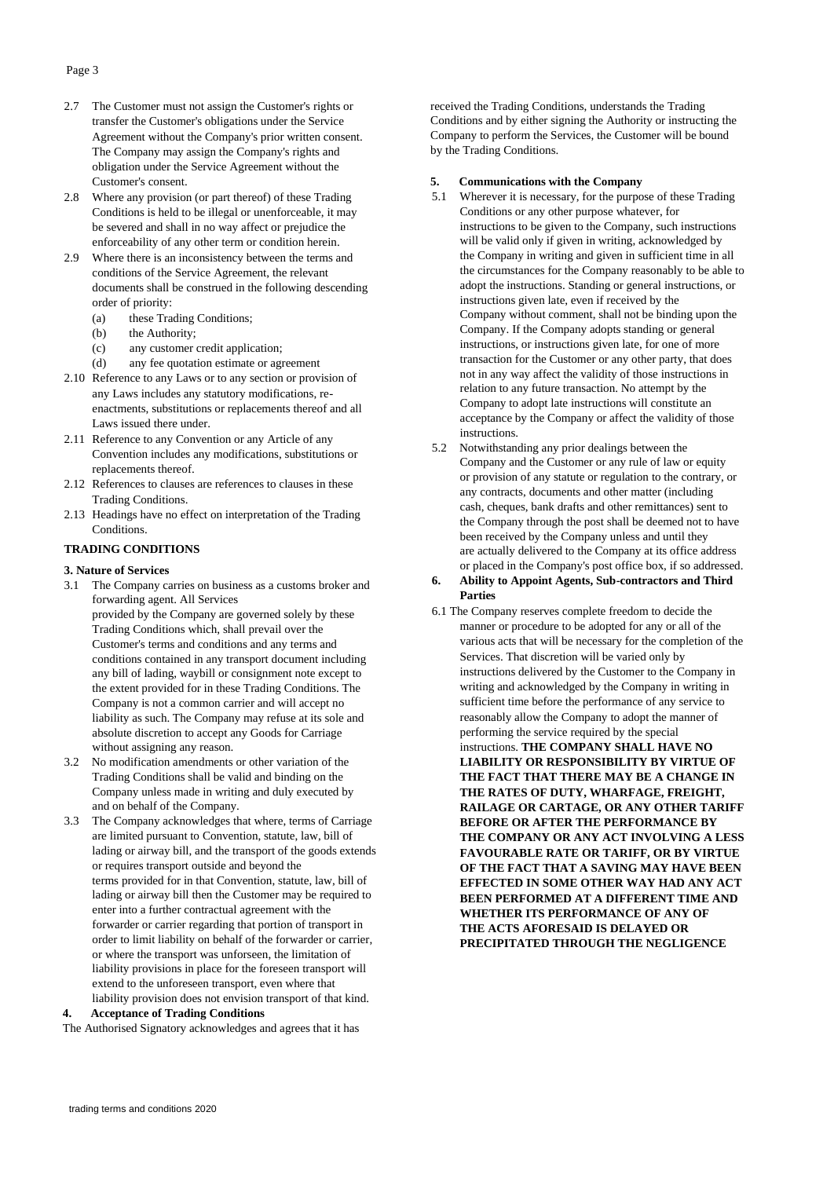- 2.7 The Customer must not assign the Customer's rights or transfer the Customer's obligations under the Service Agreement without the Company's prior written consent. The Company may assign the Company's rights and obligation under the Service Agreement without the Customer's consent.
- 2.8 Where any provision (or part thereof) of these Trading Conditions is held to be illegal or unenforceable, it may be severed and shall in no way affect or prejudice the enforceability of any other term or condition herein.
- 2.9 Where there is an inconsistency between the terms and conditions of the Service Agreement, the relevant documents shall be construed in the following descending order of priority:
	- (a) these Trading Conditions;
	- (b) the Authority;
	- (c) any customer credit application;
	- (d) any fee quotation estimate or agreement
- 2.10 Reference to any Laws or to any section or provision of any Laws includes any statutory modifications, reenactments, substitutions or replacements thereof and all Laws issued there under.
- 2.11 Reference to any Convention or any Article of any Convention includes any modifications, substitutions or replacements thereof.
- 2.12 References to clauses are references to clauses in these Trading Conditions.
- 2.13 Headings have no effect on interpretation of the Trading Conditions.

## **TRADING CONDITIONS**

#### **3. Nature of Services**

- 3.1 The Company carries on business as a customs broker and forwarding agent. All Services provided by the Company are governed solely by these Trading Conditions which, shall prevail over the Customer's terms and conditions and any terms and conditions contained in any transport document including any bill of lading, waybill or consignment note except to the extent provided for in these Trading Conditions. The Company is not a common carrier and will accept no liability as such. The Company may refuse at its sole and absolute discretion to accept any Goods for Carriage without assigning any reason.
- 3.2 No modification amendments or other variation of the Trading Conditions shall be valid and binding on the Company unless made in writing and duly executed by and on behalf of the Company.
- 3.3 The Company acknowledges that where, terms of Carriage are limited pursuant to Convention, statute, law, bill of lading or airway bill, and the transport of the goods extends or requires transport outside and beyond the terms provided for in that Convention, statute, law, bill of lading or airway bill then the Customer may be required to enter into a further contractual agreement with the forwarder or carrier regarding that portion of transport in order to limit liability on behalf of the forwarder or carrier, or where the transport was unforseen, the limitation of liability provisions in place for the foreseen transport will extend to the unforeseen transport, even where that liability provision does not envision transport of that kind.

#### **4. Acceptance of Trading Conditions**

The Authorised Signatory acknowledges and agrees that it has

received the Trading Conditions, understands the Trading Conditions and by either signing the Authority or instructing the Company to perform the Services, the Customer will be bound by the Trading Conditions.

## **5. Communications with the Company**

- 5.1 Wherever it is necessary, for the purpose of these Trading Conditions or any other purpose whatever, for instructions to be given to the Company, such instructions will be valid only if given in writing, acknowledged by the Company in writing and given in sufficient time in all the circumstances for the Company reasonably to be able to adopt the instructions. Standing or general instructions, or instructions given late, even if received by the Company without comment, shall not be binding upon the Company. If the Company adopts standing or general instructions, or instructions given late, for one of more transaction for the Customer or any other party, that does not in any way affect the validity of those instructions in relation to any future transaction. No attempt by the Company to adopt late instructions will constitute an acceptance by the Company or affect the validity of those instructions.
- 5.2 Notwithstanding any prior dealings between the Company and the Customer or any rule of law or equity or provision of any statute or regulation to the contrary, or any contracts, documents and other matter (including cash, cheques, bank drafts and other remittances) sent to the Company through the post shall be deemed not to have been received by the Company unless and until they are actually delivered to the Company at its office address or placed in the Company's post office box, if so addressed.

## **6. Ability to Appoint Agents, Sub-contractors and Third Parties**

6.1 The Company reserves complete freedom to decide the manner or procedure to be adopted for any or all of the various acts that will be necessary for the completion of the Services. That discretion will be varied only by instructions delivered by the Customer to the Company in writing and acknowledged by the Company in writing in sufficient time before the performance of any service to reasonably allow the Company to adopt the manner of performing the service required by the special instructions. **THE COMPANY SHALL HAVE NO LIABILITY OR RESPONSIBILITY BY VIRTUE OF THE FACT THAT THERE MAY BE A CHANGE IN THE RATES OF DUTY, WHARFAGE, FREIGHT, RAILAGE OR CARTAGE, OR ANY OTHER TARIFF BEFORE OR AFTER THE PERFORMANCE BY THE COMPANY OR ANY ACT INVOLVING A LESS FAVOURABLE RATE OR TARIFF, OR BY VIRTUE OF THE FACT THAT A SAVING MAY HAVE BEEN EFFECTED IN SOME OTHER WAY HAD ANY ACT BEEN PERFORMED AT A DIFFERENT TIME AND WHETHER ITS PERFORMANCE OF ANY OF THE ACTS AFORESAID IS DELAYED OR PRECIPITATED THROUGH THE NEGLIGENCE**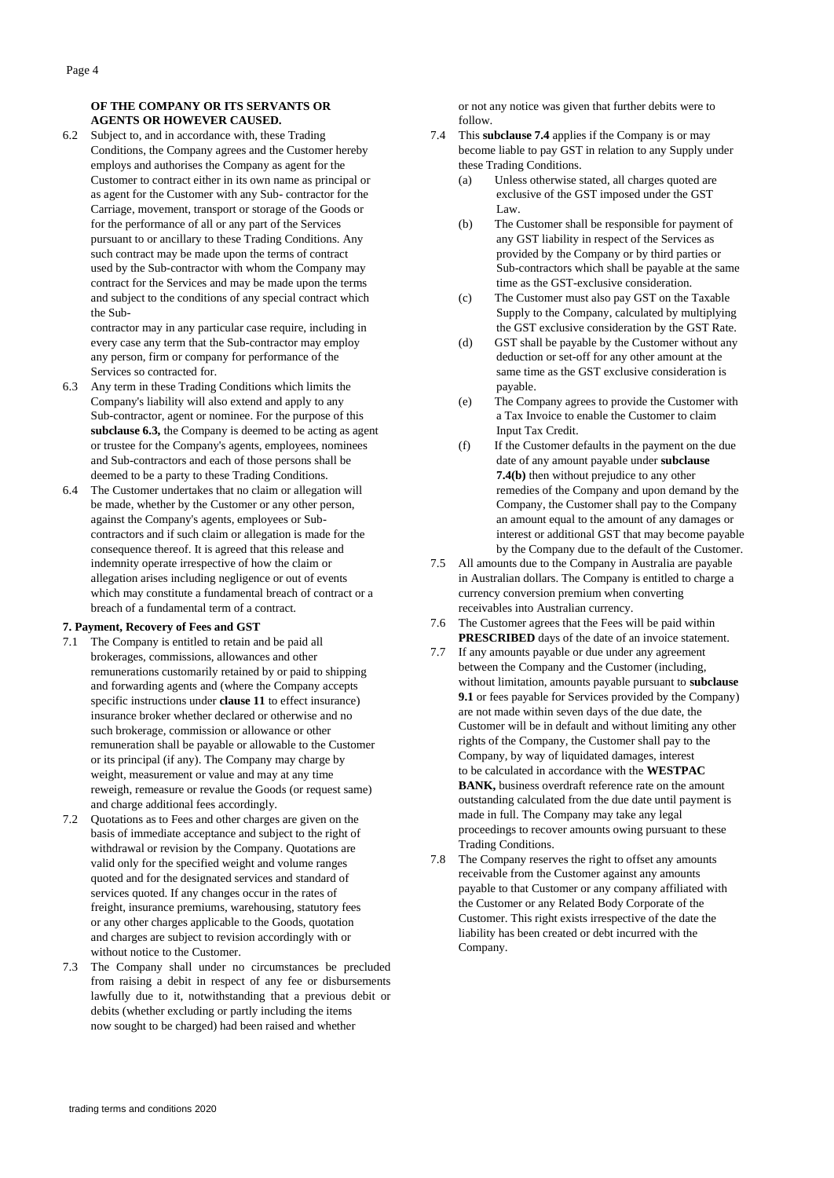## **OF THE COMPANY OR ITS SERVANTS OR AGENTS OR HOWEVER CAUSED.**

6.2 Subject to, and in accordance with, these Trading Conditions, the Company agrees and the Customer hereby employs and authorises the Company as agent for the Customer to contract either in its own name as principal or as agent for the Customer with any Sub- contractor for the Carriage, movement, transport or storage of the Goods or for the performance of all or any part of the Services pursuant to or ancillary to these Trading Conditions. Any such contract may be made upon the terms of contract used by the Sub-contractor with whom the Company may contract for the Services and may be made upon the terms and subject to the conditions of any special contract which the Sub-

contractor may in any particular case require, including in every case any term that the Sub-contractor may employ any person, firm or company for performance of the Services so contracted for.

- 6.3 Any term in these Trading Conditions which limits the Company's liability will also extend and apply to any Sub-contractor, agent or nominee. For the purpose of this **subclause 6.3,** the Company is deemed to be acting as agent or trustee for the Company's agents, employees, nominees and Sub-contractors and each of those persons shall be deemed to be a party to these Trading Conditions.
- 6.4 The Customer undertakes that no claim or allegation will be made, whether by the Customer or any other person, against the Company's agents, employees or Subcontractors and if such claim or allegation is made for the consequence thereof. It is agreed that this release and indemnity operate irrespective of how the claim or allegation arises including negligence or out of events which may constitute a fundamental breach of contract or a breach of a fundamental term of a contract.

#### **7. Payment, Recovery of Fees and GST**

- 7.1 The Company is entitled to retain and be paid all brokerages, commissions, allowances and other remunerations customarily retained by or paid to shipping and forwarding agents and (where the Company accepts specific instructions under **clause 11** to effect insurance) insurance broker whether declared or otherwise and no such brokerage, commission or allowance or other remuneration shall be payable or allowable to the Customer or its principal (if any). The Company may charge by weight, measurement or value and may at any time reweigh, remeasure or revalue the Goods (or request same) and charge additional fees accordingly.
- 7.2 Quotations as to Fees and other charges are given on the basis of immediate acceptance and subject to the right of withdrawal or revision by the Company. Quotations are valid only for the specified weight and volume ranges quoted and for the designated services and standard of services quoted. If any changes occur in the rates of freight, insurance premiums, warehousing, statutory fees or any other charges applicable to the Goods, quotation and charges are subject to revision accordingly with or without notice to the Customer.
- 7.3 The Company shall under no circumstances be precluded from raising a debit in respect of any fee or disbursements lawfully due to it, notwithstanding that a previous debit or debits (whether excluding or partly including the items now sought to be charged) had been raised and whether

or not any notice was given that further debits were to follow.

- 7.4 This **subclause 7.4** applies if the Company is or may become liable to pay GST in relation to any Supply under these Trading Conditions.
	- (a) Unless otherwise stated, all charges quoted are exclusive of the GST imposed under the GST Law.
	- (b) The Customer shall be responsible for payment of any GST liability in respect of the Services as provided by the Company or by third parties or Sub-contractors which shall be payable at the same time as the GST-exclusive consideration.
	- (c) The Customer must also pay GST on the Taxable Supply to the Company, calculated by multiplying the GST exclusive consideration by the GST Rate.
	- (d) GST shall be payable by the Customer without any deduction or set-off for any other amount at the same time as the GST exclusive consideration is payable.
	- (e) The Company agrees to provide the Customer with a Tax Invoice to enable the Customer to claim Input Tax Credit.
	- (f) If the Customer defaults in the payment on the due date of any amount payable under **subclause 7.4(b)** then without prejudice to any other remedies of the Company and upon demand by the Company, the Customer shall pay to the Company an amount equal to the amount of any damages or interest or additional GST that may become payable by the Company due to the default of the Customer.
- 7.5 All amounts due to the Company in Australia are payable in Australian dollars. The Company is entitled to charge a currency conversion premium when converting receivables into Australian currency.
- 7.6 The Customer agrees that the Fees will be paid within **PRESCRIBED** days of the date of an invoice statement.
- 7.7 If any amounts payable or due under any agreement between the Company and the Customer (including, without limitation, amounts payable pursuant to **subclause 9.1** or fees payable for Services provided by the Company) are not made within seven days of the due date, the Customer will be in default and without limiting any other rights of the Company, the Customer shall pay to the Company, by way of liquidated damages, interest to be calculated in accordance with the **WESTPAC BANK,** business overdraft reference rate on the amount outstanding calculated from the due date until payment is made in full. The Company may take any legal proceedings to recover amounts owing pursuant to these Trading Conditions.
- 7.8 The Company reserves the right to offset any amounts receivable from the Customer against any amounts payable to that Customer or any company affiliated with the Customer or any Related Body Corporate of the Customer. This right exists irrespective of the date the liability has been created or debt incurred with the Company.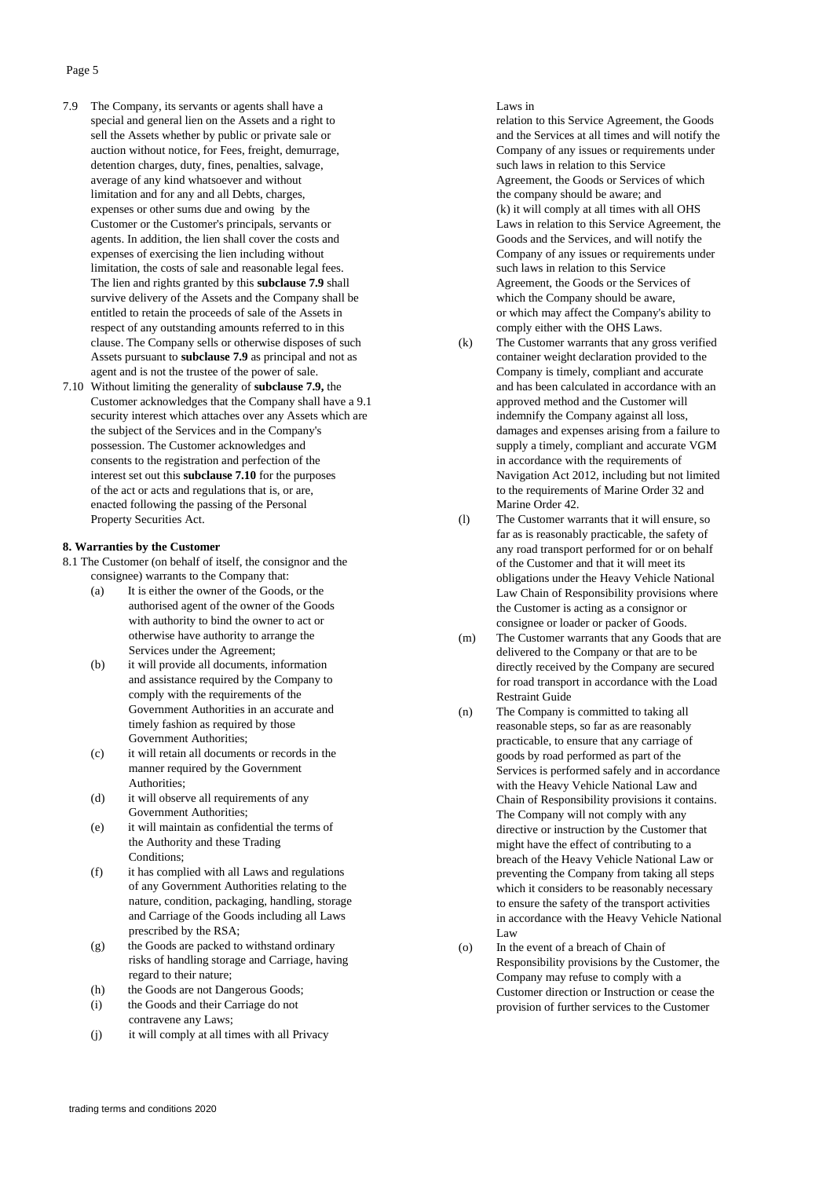- 7.9 The Company, its servants or agents shall have a special and general lien on the Assets and a right to sell the Assets whether by public or private sale or auction without notice, for Fees, freight, demurrage, detention charges, duty, fines, penalties, salvage, average of any kind whatsoever and without limitation and for any and all Debts, charges, expenses or other sums due and owing by the Customer or the Customer's principals, servants or agents. In addition, the lien shall cover the costs and expenses of exercising the lien including without limitation, the costs of sale and reasonable legal fees. The lien and rights granted by this **subclause 7.9** shall survive delivery of the Assets and the Company shall be entitled to retain the proceeds of sale of the Assets in respect of any outstanding amounts referred to in this clause. The Company sells or otherwise disposes of such Assets pursuant to **subclause 7.9** as principal and not as agent and is not the trustee of the power of sale.
- 7.10 Without limiting the generality of **subclause 7.9,** the Customer acknowledges that the Company shall have a 9.1 security interest which attaches over any Assets which are the subject of the Services and in the Company's possession. The Customer acknowledges and consents to the registration and perfection of the interest set out this **subclause 7.10** for the purposes of the act or acts and regulations that is, or are, enacted following the passing of the Personal Property Securities Act.

## **8. Warranties by the Customer**

- 8.1 The Customer (on behalf of itself, the consignor and the consignee) warrants to the Company that:
	- (a) It is either the owner of the Goods, or the authorised agent of the owner of the Goods with authority to bind the owner to act or otherwise have authority to arrange the Services under the Agreement;
	- (b) it will provide all documents, information and assistance required by the Company to comply with the requirements of the Government Authorities in an accurate and timely fashion as required by those Government Authorities;
	- (c) it will retain all documents or records in the manner required by the Government Authorities;
	- (d) it will observe all requirements of any Government Authorities;
	- (e) it will maintain as confidential the terms of the Authority and these Trading Conditions;
	- (f) it has complied with all Laws and regulations of any Government Authorities relating to the nature, condition, packaging, handling, storage and Carriage of the Goods including all Laws prescribed by the RSA;
	- (g) the Goods are packed to withstand ordinary risks of handling storage and Carriage, having regard to their nature;
	- (h) the Goods are not Dangerous Goods;
	- (i) the Goods and their Carriage do not contravene any Laws;
	- (j) it will comply at all times with all Privacy

## Laws in

relation to this Service Agreement, the Goods and the Services at all times and will notify the Company of any issues or requirements under such laws in relation to this Service Agreement, the Goods or Services of which the company should be aware; and (k) it will comply at all times with all OHS Laws in relation to this Service Agreement, the Goods and the Services, and will notify the Company of any issues or requirements under such laws in relation to this Service Agreement, the Goods or the Services of which the Company should be aware, or which may affect the Company's ability to comply either with the OHS Laws.

- (k) The Customer warrants that any gross verified container weight declaration provided to the Company is timely, compliant and accurate and has been calculated in accordance with an approved method and the Customer will indemnify the Company against all loss, damages and expenses arising from a failure to supply a timely, compliant and accurate VGM in accordance with the requirements of Navigation Act 2012, including but not limited to the requirements of Marine Order 32 and Marine Order 42.
- (l) The Customer warrants that it will ensure, so far as is reasonably practicable, the safety of any road transport performed for or on behalf of the Customer and that it will meet its obligations under the Heavy Vehicle National Law Chain of Responsibility provisions where the Customer is acting as a consignor or consignee or loader or packer of Goods.
- (m) The Customer warrants that any Goods that are delivered to the Company or that are to be directly received by the Company are secured for road transport in accordance with the Load Restraint Guide
- (n) The Company is committed to taking all reasonable steps, so far as are reasonably practicable, to ensure that any carriage of goods by road performed as part of the Services is performed safely and in accordance with the Heavy Vehicle National Law and Chain of Responsibility provisions it contains. The Company will not comply with any directive or instruction by the Customer that might have the effect of contributing to a breach of the Heavy Vehicle National Law or preventing the Company from taking all steps which it considers to be reasonably necessary to ensure the safety of the transport activities in accordance with the Heavy Vehicle National  $\Gamma$ aw
- (o) In the event of a breach of Chain of Responsibility provisions by the Customer, the Company may refuse to comply with a Customer direction or Instruction or cease the provision of further services to the Customer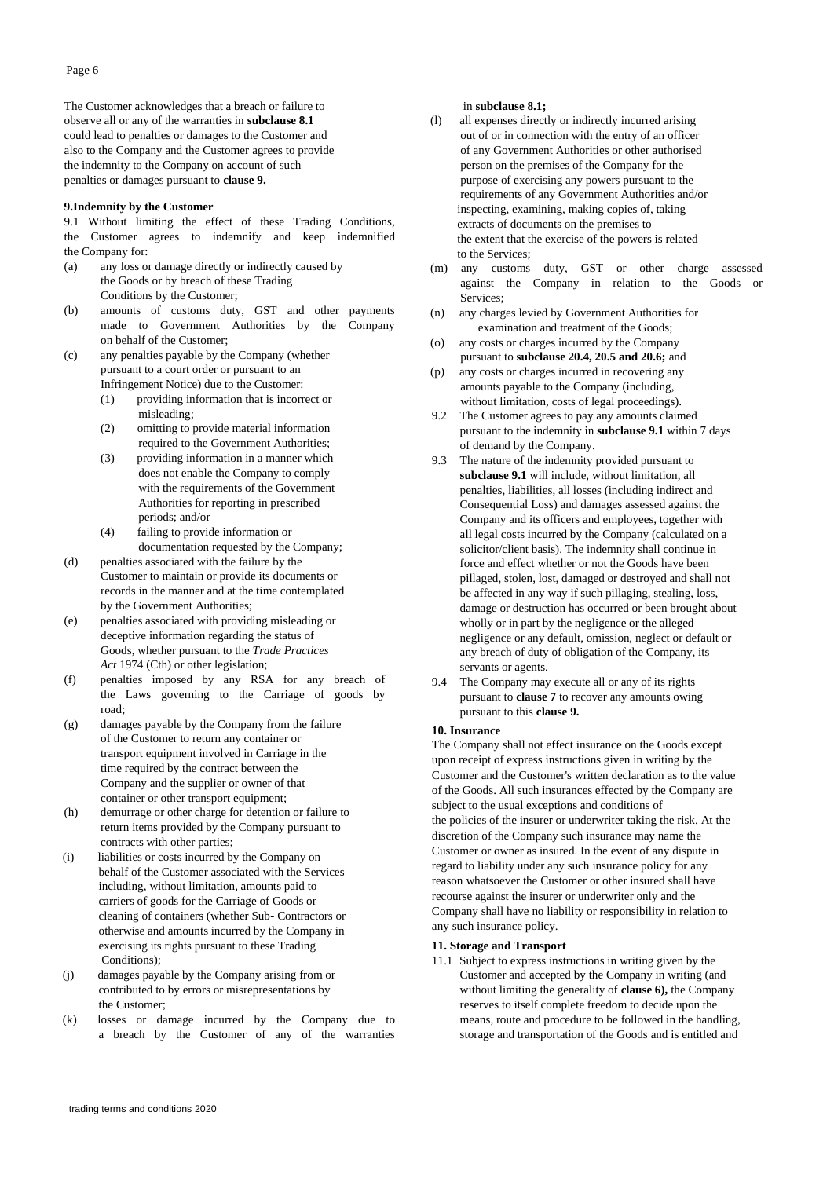The Customer acknowledges that a breach or failure to observe all or any of the warranties in **subclause 8.1** could lead to penalties or damages to the Customer and also to the Company and the Customer agrees to provide the indemnity to the Company on account of such penalties or damages pursuant to **clause 9.**

#### **9.Indemnity by the Customer**

9.1 Without limiting the effect of these Trading Conditions, the Customer agrees to indemnify and keep indemnified the Company for:

- (a) any loss or damage directly or indirectly caused by the Goods or by breach of these Trading Conditions by the Customer;
- (b) amounts of customs duty, GST and other payments made to Government Authorities by the Company on behalf of the Customer;
- (c) any penalties payable by the Company (whether pursuant to a court order or pursuant to an Infringement Notice) due to the Customer:
	- (1) providing information that is incorrect or misleading;
	- (2) omitting to provide material information required to the Government Authorities;
	- (3) providing information in a manner which does not enable the Company to comply with the requirements of the Government Authorities for reporting in prescribed periods; and/or
	- (4) failing to provide information or documentation requested by the Company;
- (d) penalties associated with the failure by the Customer to maintain or provide its documents or records in the manner and at the time contemplated by the Government Authorities;
- (e) penalties associated with providing misleading or deceptive information regarding the status of Goods, whether pursuant to the *Trade Practices* Act 1974 (Cth) or other legislation;
- (f) penalties imposed by any RSA for any breach of the Laws governing to the Carriage of goods by road;
- (g) damages payable by the Company from the failure of the Customer to return any container or transport equipment involved in Carriage in the time required by the contract between the Company and the supplier or owner of that container or other transport equipment;
- (h) demurrage or other charge for detention or failure to return items provided by the Company pursuant to contracts with other parties;
- (i) liabilities or costs incurred by the Company on behalf of the Customer associated with the Services including, without limitation, amounts paid to carriers of goods for the Carriage of Goods or cleaning of containers (whether Sub- Contractors or otherwise and amounts incurred by the Company in exercising its rights pursuant to these Trading Conditions);
- (j) damages payable by the Company arising from or contributed to by errors or misrepresentations by the Customer;
- (k) losses or damage incurred by the Company due to a breach by the Customer of any of the warranties

## in **subclause 8.1;**

- (l) all expenses directly or indirectly incurred arising out of or in connection with the entry of an officer of any Government Authorities or other authorised person on the premises of the Company for the purpose of exercising any powers pursuant to the requirements of any Government Authorities and/or inspecting, examining, making copies of, taking extracts of documents on the premises to the extent that the exercise of the powers is related to the Services;
- (m) any customs duty, GST or other charge assessed against the Company in relation to the Goods or Services;
- (n) any charges levied by Government Authorities for examination and treatment of the Goods;
- (o) any costs or charges incurred by the Company pursuant to **subclause 20.4, 20.5 and 20.6;** and
- (p) any costs or charges incurred in recovering any amounts payable to the Company (including, without limitation, costs of legal proceedings).
- 9.2 The Customer agrees to pay any amounts claimed pursuant to the indemnity in **subclause 9.1** within 7 days of demand by the Company.
- 9.3 The nature of the indemnity provided pursuant to **subclause 9.1** will include, without limitation, all penalties, liabilities, all losses (including indirect and Consequential Loss) and damages assessed against the Company and its officers and employees, together with all legal costs incurred by the Company (calculated on a solicitor/client basis). The indemnity shall continue in force and effect whether or not the Goods have been pillaged, stolen, lost, damaged or destroyed and shall not be affected in any way if such pillaging, stealing, loss, damage or destruction has occurred or been brought about wholly or in part by the negligence or the alleged negligence or any default, omission, neglect or default or any breach of duty of obligation of the Company, its servants or agents.
- 9.4 The Company may execute all or any of its rights pursuant to **clause 7** to recover any amounts owing pursuant to this **clause 9.**

#### **10. Insurance**

The Company shall not effect insurance on the Goods except upon receipt of express instructions given in writing by the Customer and the Customer's written declaration as to the value of the Goods. All such insurances effected by the Company are subject to the usual exceptions and conditions of the policies of the insurer or underwriter taking the risk. At the discretion of the Company such insurance may name the Customer or owner as insured. In the event of any dispute in regard to liability under any such insurance policy for any reason whatsoever the Customer or other insured shall have recourse against the insurer or underwriter only and the Company shall have no liability or responsibility in relation to any such insurance policy.

#### **11. Storage and Transport**

11.1 Subject to express instructions in writing given by the Customer and accepted by the Company in writing (and without limiting the generality of **clause 6),** the Company reserves to itself complete freedom to decide upon the means, route and procedure to be followed in the handling, storage and transportation of the Goods and is entitled and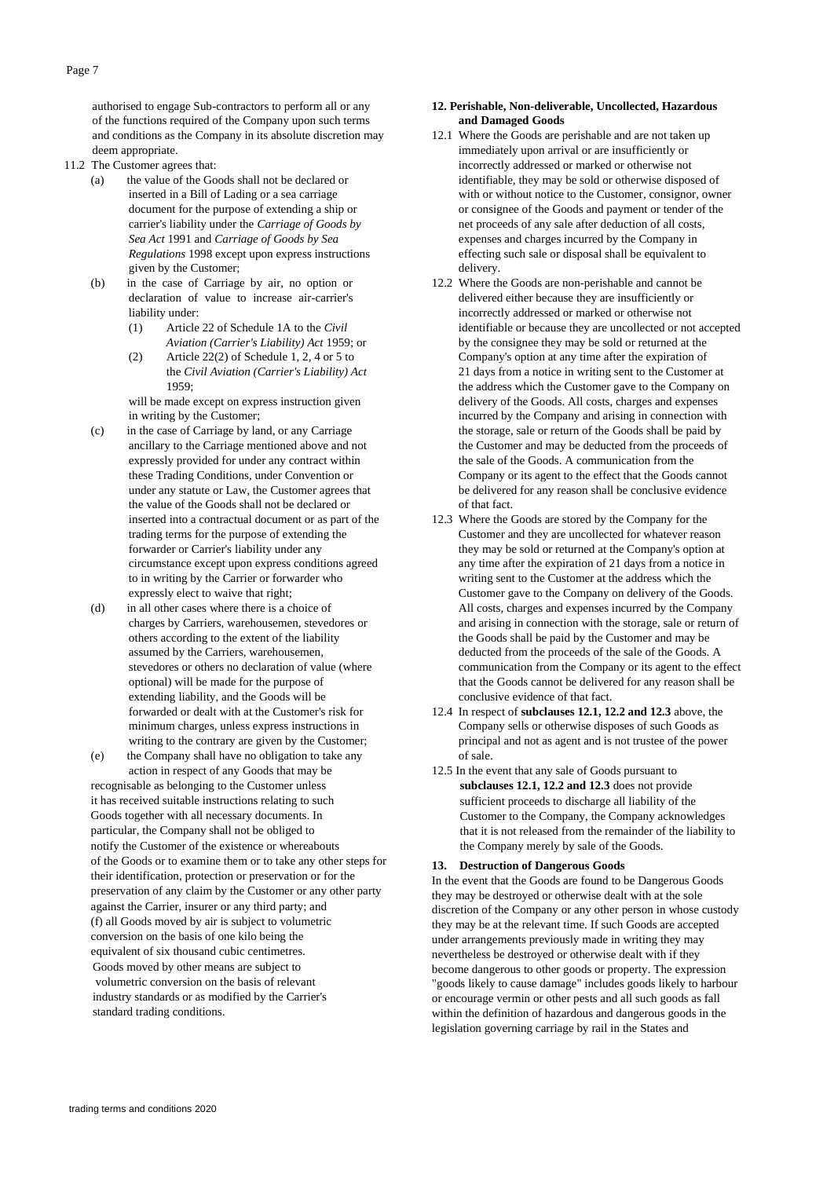authorised to engage Sub-contractors to perform all or any of the functions required of the Company upon such terms and conditions as the Company in its absolute discretion may deem appropriate.

- 11.2 The Customer agrees that:
	- (a) the value of the Goods shall not be declared or inserted in a Bill of Lading or a sea carriage document for the purpose of extending a ship or carrier's liability under the *Carriage of Goods by Sea Act* 1991 and *Carriage of Goods by Sea Regulations* 1998 except upon express instructions given by the Customer;
	- (b) in the case of Carriage by air, no option or declaration of value to increase air-carrier's liability under:
		- (1) Article 22 of Schedule 1A to the *Civil Aviation (Carrier's Liability) Act* 1959; or
		- (2) Article 22(2) of Schedule 1, 2, 4 or 5 to the *Civil Aviation (Carrier's Liability) Act* 1959;

will be made except on express instruction given in writing by the Customer;

- (c) in the case of Carriage by land, or any Carriage ancillary to the Carriage mentioned above and not expressly provided for under any contract within these Trading Conditions, under Convention or under any statute or Law, the Customer agrees that the value of the Goods shall not be declared or inserted into a contractual document or as part of the trading terms for the purpose of extending the forwarder or Carrier's liability under any circumstance except upon express conditions agreed to in writing by the Carrier or forwarder who expressly elect to waive that right;
- (d) in all other cases where there is a choice of charges by Carriers, warehousemen, stevedores or others according to the extent of the liability assumed by the Carriers, warehousemen, stevedores or others no declaration of value (where optional) will be made for the purpose of extending liability, and the Goods will be forwarded or dealt with at the Customer's risk for minimum charges, unless express instructions in writing to the contrary are given by the Customer;
- (e) the Company shall have no obligation to take any action in respect of any Goods that may be

recognisable as belonging to the Customer unless it has received suitable instructions relating to such Goods together with all necessary documents. In particular, the Company shall not be obliged to notify the Customer of the existence or whereabouts of the Goods or to examine them or to take any other steps for their identification, protection or preservation or for the preservation of any claim by the Customer or any other party against the Carrier, insurer or any third party; and (f) all Goods moved by air is subject to volumetric conversion on the basis of one kilo being the equivalent of six thousand cubic centimetres. Goods moved by other means are subject to volumetric conversion on the basis of relevant industry standards or as modified by the Carrier's standard trading conditions.

## **12. Perishable, Non-deliverable, Uncollected, Hazardous and Damaged Goods**

- 12.1 Where the Goods are perishable and are not taken up immediately upon arrival or are insufficiently or incorrectly addressed or marked or otherwise not identifiable, they may be sold or otherwise disposed of with or without notice to the Customer, consignor, owner or consignee of the Goods and payment or tender of the net proceeds of any sale after deduction of all costs, expenses and charges incurred by the Company in effecting such sale or disposal shall be equivalent to delivery.
- 12.2 Where the Goods are non-perishable and cannot be delivered either because they are insufficiently or incorrectly addressed or marked or otherwise not identifiable or because they are uncollected or not accepted by the consignee they may be sold or returned at the Company's option at any time after the expiration of 21 days from a notice in writing sent to the Customer at the address which the Customer gave to the Company on delivery of the Goods. All costs, charges and expenses incurred by the Company and arising in connection with the storage, sale or return of the Goods shall be paid by the Customer and may be deducted from the proceeds of the sale of the Goods. A communication from the Company or its agent to the effect that the Goods cannot be delivered for any reason shall be conclusive evidence of that fact.
- 12.3 Where the Goods are stored by the Company for the Customer and they are uncollected for whatever reason they may be sold or returned at the Company's option at any time after the expiration of 21 days from a notice in writing sent to the Customer at the address which the Customer gave to the Company on delivery of the Goods. All costs, charges and expenses incurred by the Company and arising in connection with the storage, sale or return of the Goods shall be paid by the Customer and may be deducted from the proceeds of the sale of the Goods. A communication from the Company or its agent to the effect that the Goods cannot be delivered for any reason shall be conclusive evidence of that fact.
- 12.4 In respect of **subclauses 12.1, 12.2 and 12.3** above, the Company sells or otherwise disposes of such Goods as principal and not as agent and is not trustee of the power of sale.
- 12.5 In the event that any sale of Goods pursuant to **subclauses 12.1, 12.2 and 12.3** does not provide sufficient proceeds to discharge all liability of the Customer to the Company, the Company acknowledges that it is not released from the remainder of the liability to the Company merely by sale of the Goods.

#### **13. Destruction of Dangerous Goods**

In the event that the Goods are found to be Dangerous Goods they may be destroyed or otherwise dealt with at the sole discretion of the Company or any other person in whose custody they may be at the relevant time. If such Goods are accepted under arrangements previously made in writing they may nevertheless be destroyed or otherwise dealt with if they become dangerous to other goods or property. The expression "goods likely to cause damage" includes goods likely to harbour or encourage vermin or other pests and all such goods as fall within the definition of hazardous and dangerous goods in the legislation governing carriage by rail in the States and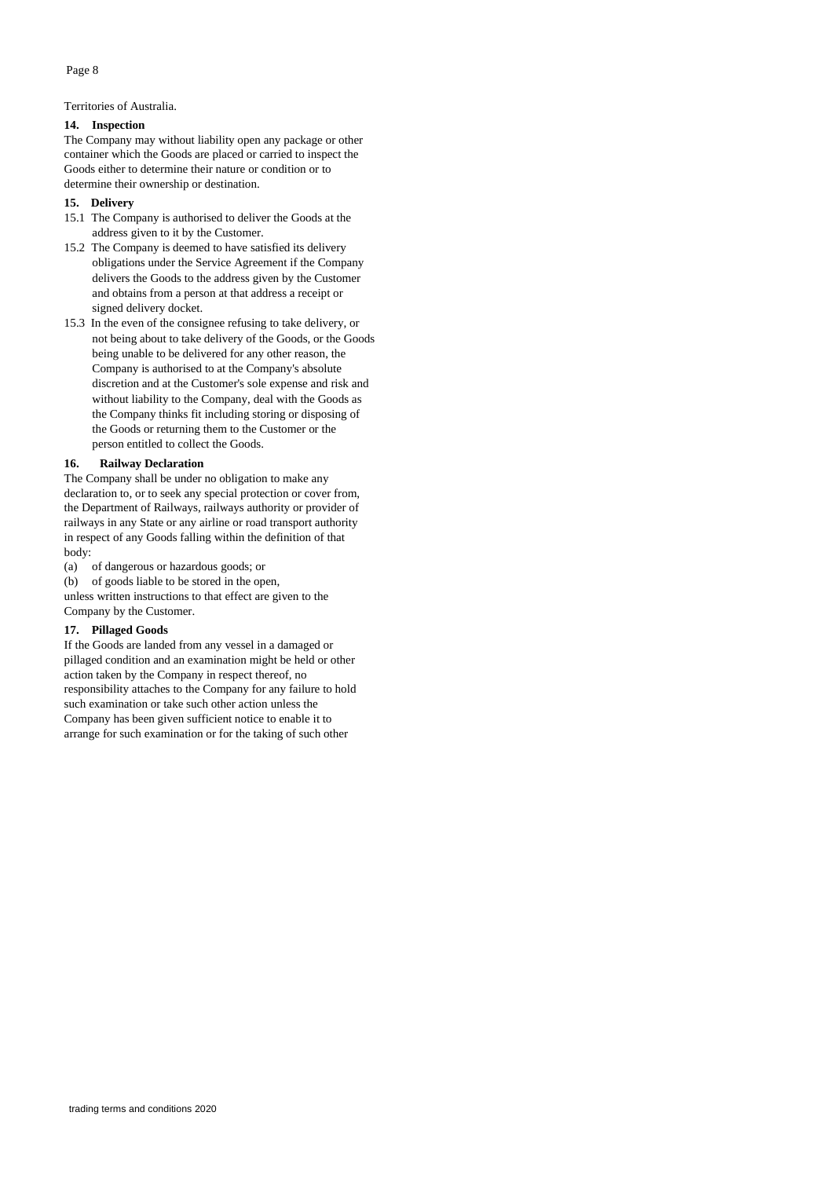Territories of Australia.

#### **14. Inspection**

The Company may without liability open any package or other container which the Goods are placed or carried to inspect the Goods either to determine their nature or condition or to determine their ownership or destination.

#### **15. Delivery**

- 15.1 The Company is authorised to deliver the Goods at the address given to it by the Customer.
- 15.2 The Company is deemed to have satisfied its delivery obligations under the Service Agreement if the Company delivers the Goods to the address given by the Customer and obtains from a person at that address a receipt or signed delivery docket.
- 15.3 In the even of the consignee refusing to take delivery, or not being about to take delivery of the Goods, or the Goods being unable to be delivered for any other reason, the Company is authorised to at the Company's absolute discretion and at the Customer's sole expense and risk and without liability to the Company, deal with the Goods as the Company thinks fit including storing or disposing of the Goods or returning them to the Customer or the person entitled to collect the Goods.

## **16. Railway Declaration**

The Company shall be under no obligation to make any declaration to, or to seek any special protection or cover from, the Department of Railways, railways authority or provider of railways in any State or any airline or road transport authority in respect of any Goods falling within the definition of that body:

(a) of dangerous or hazardous goods; or

(b) of goods liable to be stored in the open,

unless written instructions to that effect are given to the Company by the Customer.

#### **17. Pillaged Goods**

If the Goods are landed from any vessel in a damaged or pillaged condition and an examination might be held or other action taken by the Company in respect thereof, no responsibility attaches to the Company for any failure to hold such examination or take such other action unless the Company has been given sufficient notice to enable it to arrange for such examination or for the taking of such other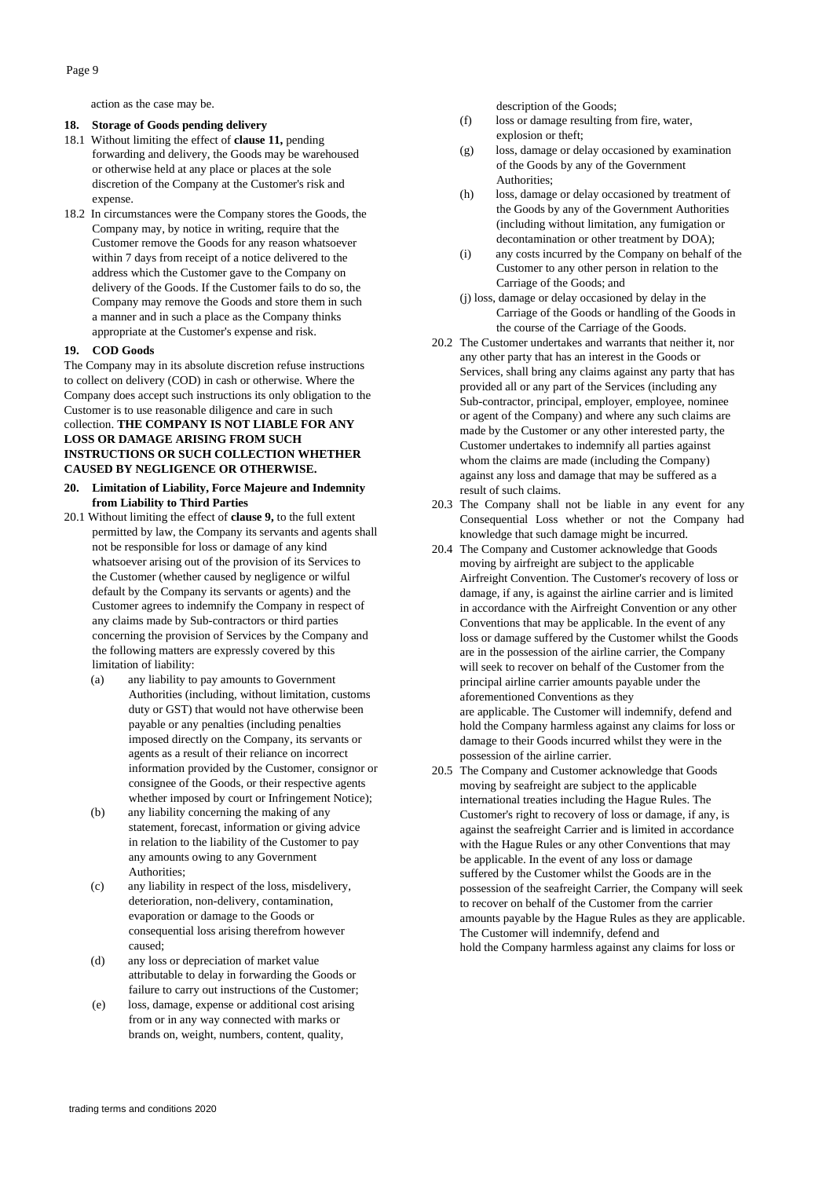action as the case may be.

## **18. Storage of Goods pending delivery**

- 18.1 Without limiting the effect of **clause 11,** pending forwarding and delivery, the Goods may be warehoused or otherwise held at any place or places at the sole discretion of the Company at the Customer's risk and expense.
- 18.2 In circumstances were the Company stores the Goods, the Company may, by notice in writing, require that the Customer remove the Goods for any reason whatsoever within 7 days from receipt of a notice delivered to the address which the Customer gave to the Company on delivery of the Goods. If the Customer fails to do so, the Company may remove the Goods and store them in such a manner and in such a place as the Company thinks appropriate at the Customer's expense and risk.

#### **19. COD Goods**

The Company may in its absolute discretion refuse instructions to collect on delivery (COD) in cash or otherwise. Where the Company does accept such instructions its only obligation to the Customer is to use reasonable diligence and care in such collection. **THE COMPANY IS NOT LIABLE FOR ANY LOSS OR DAMAGE ARISING FROM SUCH INSTRUCTIONS OR SUCH COLLECTION WHETHER CAUSED BY NEGLIGENCE OR OTHERWISE.**

#### **20. Limitation of Liability, Force Majeure and Indemnity from Liability to Third Parties**

- 20.1 Without limiting the effect of **clause 9,** to the full extent permitted by law, the Company its servants and agents shall not be responsible for loss or damage of any kind whatsoever arising out of the provision of its Services to the Customer (whether caused by negligence or wilful default by the Company its servants or agents) and the Customer agrees to indemnify the Company in respect of any claims made by Sub-contractors or third parties concerning the provision of Services by the Company and the following matters are expressly covered by this limitation of liability:
	- (a) any liability to pay amounts to Government Authorities (including, without limitation, customs duty or GST) that would not have otherwise been payable or any penalties (including penalties imposed directly on the Company, its servants or agents as a result of their reliance on incorrect information provided by the Customer, consignor or consignee of the Goods, or their respective agents whether imposed by court or Infringement Notice);
	- (b) any liability concerning the making of any statement, forecast, information or giving advice in relation to the liability of the Customer to pay any amounts owing to any Government Authorities;
	- (c) any liability in respect of the loss, misdelivery, deterioration, non-delivery, contamination, evaporation or damage to the Goods or consequential loss arising therefrom however caused;
	- (d) any loss or depreciation of market value attributable to delay in forwarding the Goods or failure to carry out instructions of the Customer;
	- (e) loss, damage, expense or additional cost arising from or in any way connected with marks or brands on, weight, numbers, content, quality,

description of the Goods;

- (f) loss or damage resulting from fire, water, explosion or theft;
- (g) loss, damage or delay occasioned by examination of the Goods by any of the Government Authorities:
- (h) loss, damage or delay occasioned by treatment of the Goods by any of the Government Authorities (including without limitation, any fumigation or decontamination or other treatment by DOA);
- (i) any costs incurred by the Company on behalf of the Customer to any other person in relation to the Carriage of the Goods; and
- (j) loss, damage or delay occasioned by delay in the Carriage of the Goods or handling of the Goods in the course of the Carriage of the Goods.
- 20.2 The Customer undertakes and warrants that neither it, nor any other party that has an interest in the Goods or Services, shall bring any claims against any party that has provided all or any part of the Services (including any Sub-contractor, principal, employer, employee, nominee or agent of the Company) and where any such claims are made by the Customer or any other interested party, the Customer undertakes to indemnify all parties against whom the claims are made (including the Company) against any loss and damage that may be suffered as a result of such claims.
- 20.3 The Company shall not be liable in any event for any Consequential Loss whether or not the Company had knowledge that such damage might be incurred.
- 20.4 The Company and Customer acknowledge that Goods moving by airfreight are subject to the applicable Airfreight Convention. The Customer's recovery of loss or damage, if any, is against the airline carrier and is limited in accordance with the Airfreight Convention or any other Conventions that may be applicable. In the event of any loss or damage suffered by the Customer whilst the Goods are in the possession of the airline carrier, the Company will seek to recover on behalf of the Customer from the principal airline carrier amounts payable under the aforementioned Conventions as they are applicable. The Customer will indemnify, defend and hold the Company harmless against any claims for loss or damage to their Goods incurred whilst they were in the possession of the airline carrier.
- 20.5 The Company and Customer acknowledge that Goods moving by seafreight are subject to the applicable international treaties including the Hague Rules. The Customer's right to recovery of loss or damage, if any, is against the seafreight Carrier and is limited in accordance with the Hague Rules or any other Conventions that may be applicable. In the event of any loss or damage suffered by the Customer whilst the Goods are in the possession of the seafreight Carrier, the Company will seek to recover on behalf of the Customer from the carrier amounts payable by the Hague Rules as they are applicable. The Customer will indemnify, defend and hold the Company harmless against any claims for loss or